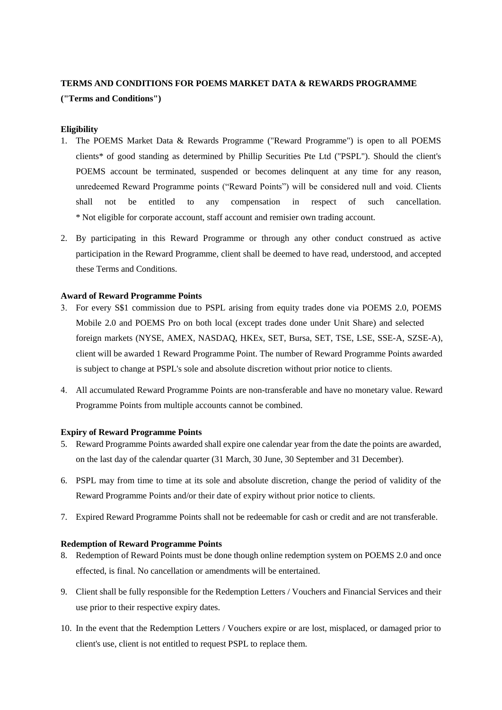# **TERMS AND CONDITIONS FOR POEMS MARKET DATA & REWARDS PROGRAMME ("Terms and Conditions")**

## **Eligibility**

- 1. The POEMS Market Data & Rewards Programme ("Reward Programme") is open to all POEMS clients\* of good standing as determined by Phillip Securities Pte Ltd ("PSPL"). Should the client's POEMS account be terminated, suspended or becomes delinquent at any time for any reason, unredeemed Reward Programme points ("Reward Points") will be considered null and void. Clients shall not be entitled to any compensation in respect of such cancellation. \* Not eligible for corporate account, staff account and remisier own trading account.
- 2. By participating in this Reward Programme or through any other conduct construed as active participation in the Reward Programme, client shall be deemed to have read, understood, and accepted these Terms and Conditions.

### **Award of Reward Programme Points**

- 3. For every S\$1 commission due to PSPL arising from equity trades done via POEMS 2.0, POEMS Mobile 2.0 and POEMS Pro on both local (except trades done under Unit Share) and selected foreign markets (NYSE, AMEX, NASDAQ, HKEx, SET, Bursa, SET, TSE, LSE, SSE-A, SZSE-A), client will be awarded 1 Reward Programme Point. The number of Reward Programme Points awarded is subject to change at PSPL's sole and absolute discretion without prior notice to clients.
- 4. All accumulated Reward Programme Points are non-transferable and have no monetary value. Reward Programme Points from multiple accounts cannot be combined.

#### **Expiry of Reward Programme Points**

- 5. Reward Programme Points awarded shall expire one calendar year from the date the points are awarded, on the last day of the calendar quarter (31 March, 30 June, 30 September and 31 December).
- 6. PSPL may from time to time at its sole and absolute discretion, change the period of validity of the Reward Programme Points and/or their date of expiry without prior notice to clients.
- 7. Expired Reward Programme Points shall not be redeemable for cash or credit and are not transferable.

#### **Redemption of Reward Programme Points**

- 8. Redemption of Reward Points must be done though online redemption system on POEMS 2.0 and once effected, is final. No cancellation or amendments will be entertained.
- 9. Client shall be fully responsible for the Redemption Letters / Vouchers and Financial Services and their use prior to their respective expiry dates.
- 10. In the event that the Redemption Letters / Vouchers expire or are lost, misplaced, or damaged prior to client's use, client is not entitled to request PSPL to replace them.